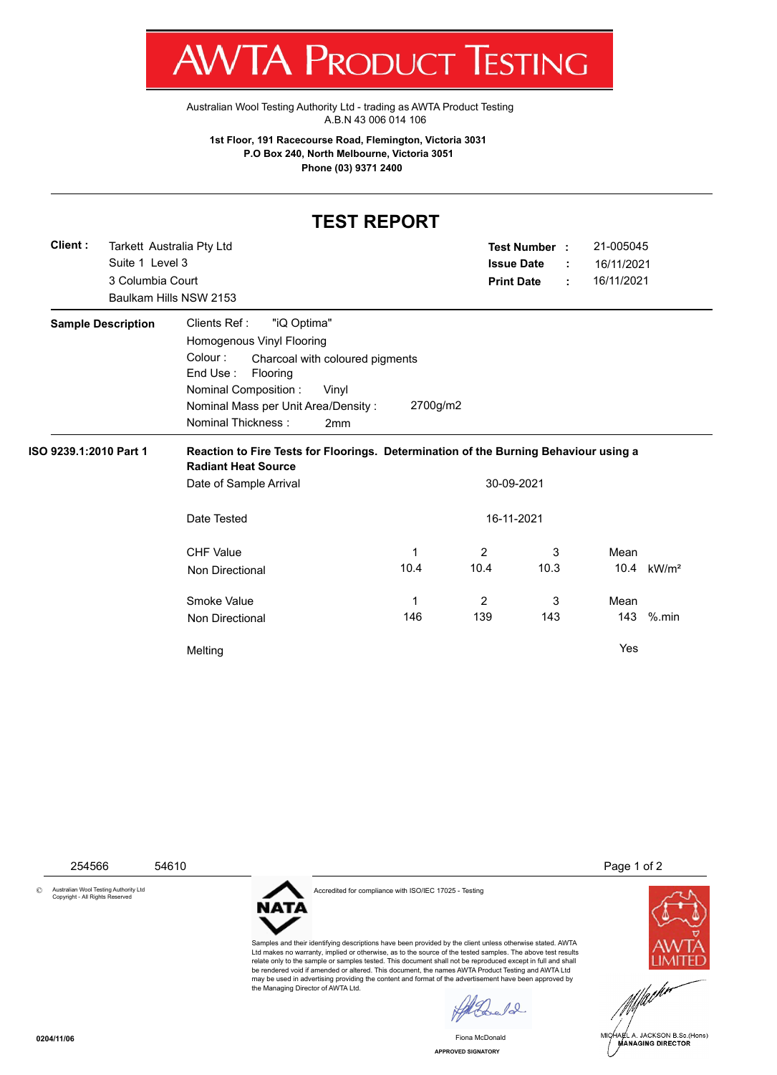T WV I/VI RUDUCT IESHING

[Australian Wool Testing Authority Ltd - trading as AWTA Product Testing](http://www.awtaproducttesting.com.au/) A.B.N 43 006 014 106

**1st Floor, 191 Racecourse Road, Flemington, Victoria 3031 P.O Box 240, North Melbourne, Victoria 3051 Phone (03) 9371 2400**

## **TEST REPORT**

| Client:                   |                  | Tarkett Australia Pty Ltd                                          |            |                   | Test Number : |  | 21-005045  |                        |  |
|---------------------------|------------------|--------------------------------------------------------------------|------------|-------------------|---------------|--|------------|------------------------|--|
|                           | Suite 1 Level 3  |                                                                    |            | <b>Issue Date</b> |               |  | 16/11/2021 |                        |  |
|                           | 3 Columbia Court |                                                                    |            | <b>Print Date</b> |               |  | 16/11/2021 |                        |  |
|                           |                  | Baulkam Hills NSW 2153                                             |            |                   |               |  |            |                        |  |
| <b>Sample Description</b> |                  | Clients Ref:<br>"iQ Optima"                                        |            |                   |               |  |            |                        |  |
|                           |                  | Homogenous Vinyl Flooring                                          |            |                   |               |  |            |                        |  |
|                           |                  | Colour:<br>Charcoal with coloured pigments<br>End Use:<br>Flooring |            |                   |               |  |            |                        |  |
|                           |                  | Nominal Composition:<br>Vinyl                                      |            |                   |               |  |            |                        |  |
|                           |                  | Nominal Mass per Unit Area/Density:                                | 2700g/m2   |                   |               |  |            |                        |  |
|                           |                  | Nominal Thickness:<br>2mm                                          |            |                   |               |  |            |                        |  |
|                           |                  | Date of Sample Arrival                                             | 30-09-2021 |                   |               |  |            |                        |  |
|                           |                  | Date Tested                                                        | 16-11-2021 |                   |               |  |            |                        |  |
|                           |                  | <b>CHF Value</b>                                                   | 1          | 2                 | 3             |  | Mean       |                        |  |
|                           |                  | <b>Non Directional</b>                                             | 10.4       | 10.4              | 10.3          |  |            | 10.4 kW/m <sup>2</sup> |  |
|                           |                  | Smoke Value                                                        | 1          | 2                 | 3             |  | Mean       |                        |  |
|                           |                  | <b>Non Directional</b>                                             | 146        | 139               | 143           |  | 143        | $%$ .min               |  |
|                           |                  | Melting                                                            |            |                   |               |  | Yes        |                        |  |
|                           |                  |                                                                    |            |                   |               |  |            |                        |  |

254566 54610 Page 1 of 2

© Australian Wool Testing Authority Ltd Copyright - All Rights Reserved



Accredited for compliance with ISO/IEC 17025 - Testing

Samples and their identifying descriptions have been provided by the client unless otherwise stated. AWTA Ltd makes no warranty, implied or otherwise, as to the source of the tested samples. The above test results relate only to the sample or samples tested. This document shall not be reproduced except in full and shall be rendered void if amended or altered. This document, the names AWTA Product Testing and AWTA Ltd may be used in advertising providing the content and format of the advertisement have been approved by the Managing Director of AWTA Ltd.

 $\sqrt{2}$ 

Fiona McDonald





**APPROVED SIGNATORY**